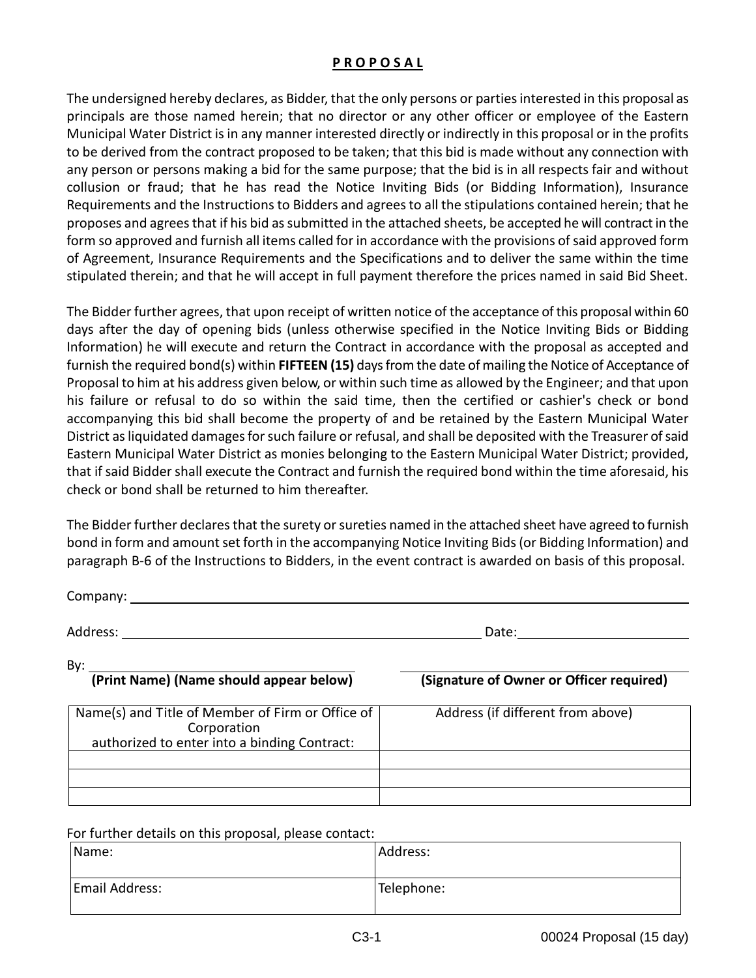## **P R O P O S A L**

The undersigned hereby declares, as Bidder, that the only persons or parties interested in this proposal as principals are those named herein; that no director or any other officer or employee of the Eastern Municipal Water District is in any manner interested directly or indirectly in this proposal or in the profits to be derived from the contract proposed to be taken; that this bid is made without any connection with any person or persons making a bid for the same purpose; that the bid is in all respects fair and without collusion or fraud; that he has read the Notice Inviting Bids (or Bidding Information), Insurance Requirements and the Instructions to Bidders and agrees to all the stipulations contained herein; that he proposes and agrees that if his bid as submitted in the attached sheets, be accepted he will contract in the form so approved and furnish all items called for in accordance with the provisions of said approved form of Agreement, Insurance Requirements and the Specifications and to deliver the same within the time stipulated therein; and that he will accept in full payment therefore the prices named in said Bid Sheet.

The Bidder further agrees, that upon receipt of written notice of the acceptance of this proposal within 60 days after the day of opening bids (unless otherwise specified in the Notice Inviting Bids or Bidding Information) he will execute and return the Contract in accordance with the proposal as accepted and furnish the required bond(s) within **FIFTEEN (15)** days from the date of mailing the Notice of Acceptance of Proposal to him at his address given below, or within such time as allowed by the Engineer; and that upon his failure or refusal to do so within the said time, then the certified or cashier's check or bond accompanying this bid shall become the property of and be retained by the Eastern Municipal Water District as liquidated damages for such failure or refusal, and shall be deposited with the Treasurer of said Eastern Municipal Water District as monies belonging to the Eastern Municipal Water District; provided, that if said Bidder shall execute the Contract and furnish the required bond within the time aforesaid, his check or bond shall be returned to him thereafter.

The Bidder further declares that the surety or sureties named in the attached sheet have agreed to furnish bond in form and amount set forth in the accompanying Notice Inviting Bids (or Bidding Information) and paragraph B-6 of the Instructions to Bidders, in the event contract is awarded on basis of this proposal.

Company: 2000 Address: Date: By: **(Print Name) (Name should appear below) (Signature of Owner or Officer required)** Name(s) and Title of Member of Firm or Office of Corporation authorized to enter into a binding Contract: Address (if different from above)

## For further details on this proposal, please contact:

| Name:          | Address:   |
|----------------|------------|
| Email Address: | Telephone: |